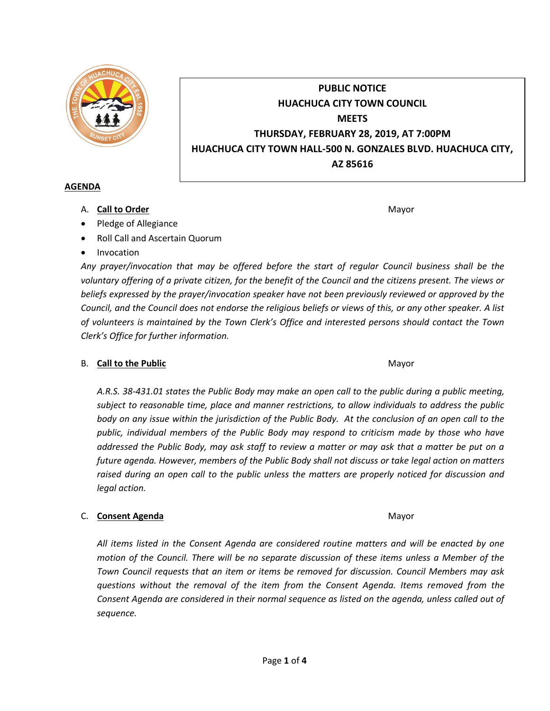

# **PUBLIC NOTICE HUACHUCA CITY TOWN COUNCIL MEETS THURSDAY, FEBRUARY 28, 2019, AT 7:00PM HUACHUCA CITY TOWN HALL-500 N. GONZALES BLVD. HUACHUCA CITY, AZ 85616**

### **AGENDA**

A. **Call to Order** Mayor **Mayor** Mayor **Mayor** Mayor **Mayor** 

- Pledge of Allegiance
- Roll Call and Ascertain Quorum
- Invocation

*Any prayer/invocation that may be offered before the start of regular Council business shall be the voluntary offering of a private citizen, for the benefit of the Council and the citizens present. The views or beliefs expressed by the prayer/invocation speaker have not been previously reviewed or approved by the Council, and the Council does not endorse the religious beliefs or views of this, or any other speaker. A list of volunteers is maintained by the Town Clerk's Office and interested persons should contact the Town Clerk's Office for further information.*

## B. **Call to the Public** Mayor **Mayor** Mayor **Mayor** Mayor

*A.R.S. 38-431.01 states the Public Body may make an open call to the public during a public meeting, subject to reasonable time, place and manner restrictions, to allow individuals to address the public body on any issue within the jurisdiction of the Public Body. At the conclusion of an open call to the public, individual members of the Public Body may respond to criticism made by those who have addressed the Public Body, may ask staff to review a matter or may ask that a matter be put on a future agenda. However, members of the Public Body shall not discuss or take legal action on matters raised during an open call to the public unless the matters are properly noticed for discussion and legal action.*

## C. **Consent Agenda** Mayor

*All items listed in the Consent Agenda are considered routine matters and will be enacted by one motion of the Council. There will be no separate discussion of these items unless a Member of the Town Council requests that an item or items be removed for discussion. Council Members may ask questions without the removal of the item from the Consent Agenda. Items removed from the Consent Agenda are considered in their normal sequence as listed on the agenda, unless called out of sequence.*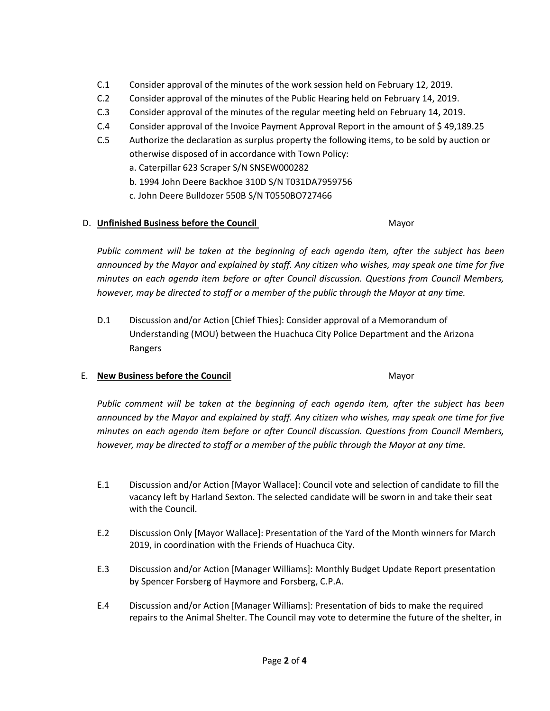- C.1 Consider approval of the minutes of the work session held on February 12, 2019.
- C.2 Consider approval of the minutes of the Public Hearing held on February 14, 2019.
- C.3 Consider approval of the minutes of the regular meeting held on February 14, 2019.
- C.4 Consider approval of the Invoice Payment Approval Report in the amount of \$ 49,189.25
- C.5 Authorize the declaration as surplus property the following items, to be sold by auction or otherwise disposed of in accordance with Town Policy:
	- a. Caterpillar 623 Scraper S/N SNSEW000282
	- b. 1994 John Deere Backhoe 310D S/N T031DA7959756
	- c. John Deere Bulldozer 550B S/N T0550BO727466

#### D. **Unfinished Business before the Council** Mayor

*Public comment will be taken at the beginning of each agenda item, after the subject has been announced by the Mayor and explained by staff. Any citizen who wishes, may speak one time for five minutes on each agenda item before or after Council discussion. Questions from Council Members, however, may be directed to staff or a member of the public through the Mayor at any time.*

D.1 Discussion and/or Action [Chief Thies]: Consider approval of a Memorandum of Understanding (MOU) between the Huachuca City Police Department and the Arizona Rangers

#### E. **New Business before the Council** Mayor

*Public comment will be taken at the beginning of each agenda item, after the subject has been announced by the Mayor and explained by staff. Any citizen who wishes, may speak one time for five minutes on each agenda item before or after Council discussion. Questions from Council Members, however, may be directed to staff or a member of the public through the Mayor at any time.*

- E.1 Discussion and/or Action [Mayor Wallace]: Council vote and selection of candidate to fill the vacancy left by Harland Sexton. The selected candidate will be sworn in and take their seat with the Council.
- E.2 Discussion Only [Mayor Wallace]: Presentation of the Yard of the Month winners for March 2019, in coordination with the Friends of Huachuca City.
- E.3 Discussion and/or Action [Manager Williams]: Monthly Budget Update Report presentation by Spencer Forsberg of Haymore and Forsberg, C.P.A.
- E.4 Discussion and/or Action [Manager Williams]: Presentation of bids to make the required repairs to the Animal Shelter. The Council may vote to determine the future of the shelter, in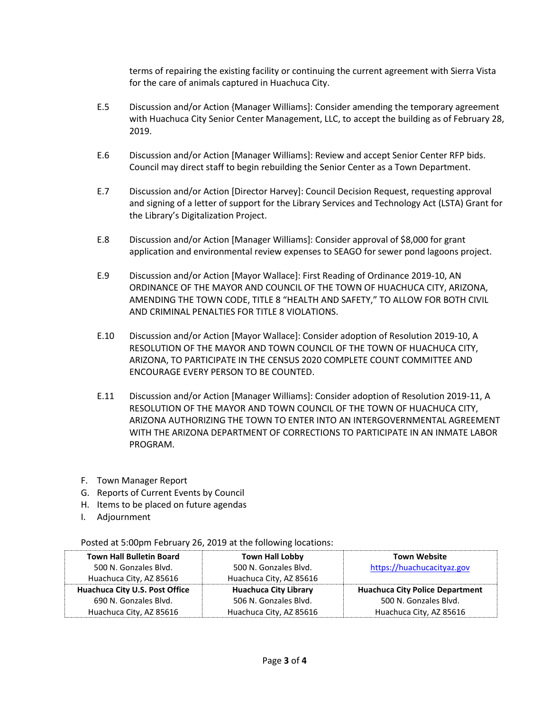terms of repairing the existing facility or continuing the current agreement with Sierra Vista for the care of animals captured in Huachuca City.

- E.5 Discussion and/or Action {Manager Williams]: Consider amending the temporary agreement with Huachuca City Senior Center Management, LLC, to accept the building as of February 28, 2019.
- E.6 Discussion and/or Action [Manager Williams]: Review and accept Senior Center RFP bids. Council may direct staff to begin rebuilding the Senior Center as a Town Department.
- E.7 Discussion and/or Action [Director Harvey]: Council Decision Request, requesting approval and signing of a letter of support for the Library Services and Technology Act (LSTA) Grant for the Library's Digitalization Project.
- E.8 Discussion and/or Action [Manager Williams]: Consider approval of \$8,000 for grant application and environmental review expenses to SEAGO for sewer pond lagoons project.
- E.9 Discussion and/or Action [Mayor Wallace]: First Reading of Ordinance 2019-10, AN ORDINANCE OF THE MAYOR AND COUNCIL OF THE TOWN OF HUACHUCA CITY, ARIZONA, AMENDING THE TOWN CODE, TITLE 8 "HEALTH AND SAFETY," TO ALLOW FOR BOTH CIVIL AND CRIMINAL PENALTIES FOR TITLE 8 VIOLATIONS.
- E.10 Discussion and/or Action [Mayor Wallace]: Consider adoption of Resolution 2019-10, A RESOLUTION OF THE MAYOR AND TOWN COUNCIL OF THE TOWN OF HUACHUCA CITY, ARIZONA, TO PARTICIPATE IN THE CENSUS 2020 COMPLETE COUNT COMMITTEE AND ENCOURAGE EVERY PERSON TO BE COUNTED.
- E.11 Discussion and/or Action [Manager Williams]: Consider adoption of Resolution 2019-11, A RESOLUTION OF THE MAYOR AND TOWN COUNCIL OF THE TOWN OF HUACHUCA CITY, ARIZONA AUTHORIZING THE TOWN TO ENTER INTO AN INTERGOVERNMENTAL AGREEMENT WITH THE ARIZONA DEPARTMENT OF CORRECTIONS TO PARTICIPATE IN AN INMATE LABOR PROGRAM.
- F. Town Manager Report
- G. Reports of Current Events by Council
- H. Items to be placed on future agendas
- I. Adjournment

Posted at 5:00pm February 26, 2019 at the following locations:

| <b>Town Hall Bulletin Board</b> | <b>Town Hall Lobby</b>       | <b>Town Website</b>                    |
|---------------------------------|------------------------------|----------------------------------------|
| 500 N. Gonzales Blvd.           | 500 N. Gonzales Blvd.        | https://huachucacityaz.gov             |
| Huachuca City, AZ 85616         | Huachuca City, AZ 85616      |                                        |
| Huachuca City U.S. Post Office  | <b>Huachuca City Library</b> | <b>Huachuca City Police Department</b> |
| 690 N. Gonzales Blyd.           | 506 N. Gonzales Blvd.        | 500 N. Gonzales Blvd.                  |
| Huachuca City, AZ 85616         | Huachuca City, AZ 85616      | Huachuca City, AZ 85616                |